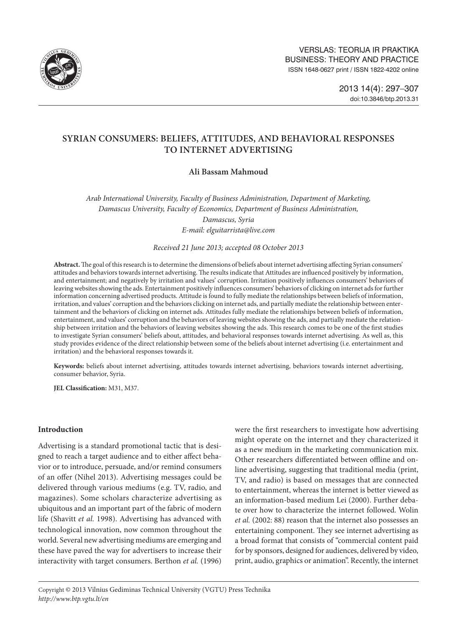

# **SYRIAN CONSUMERS: BELIEFS, ATTITUDES, AND BEHAVIORAL RESPONSES TO INTERNET ADVERTISING**

# **Ali Bassam Mahmoud**

*Arab International University, Faculty of Business Administration, Department of Marketing, Damascus University, Faculty of Economics, Department of Business Administration, Damascus, Syria E-mail: [elguitarrista@live.com](mailto:elguitarrista@live.com)*

*Received 21 June 2013; accepted 08 October 2013*

**Abstract.** The goal of this research is to determine the dimensions of beliefs about internet advertising affecting Syrian consumers' attitudes and behaviors towards internet advertising. The results indicate that Attitudes are influenced positively by information, and entertainment; and negatively by irritation and values' corruption. Irritation positively influences consumers' behaviors of leaving websites showing the ads. Entertainment positively influences consumers' behaviors of clicking on internet ads for further information concerning advertised products. Attitude is found to fully mediate the relationships between beliefs of information, irritation, and values' corruption and the behaviors clicking on internet ads, and partially mediate the relationship between entertainment and the behaviors of clicking on internet ads. Attitudes fully mediate the relationships between beliefs of information, entertainment, and values' corruption and the behaviors of leaving websites showing the ads, and partially mediate the relationship between irritation and the behaviors of leaving websites showing the ads. This research comes to be one of the first studies to investigate Syrian consumers' beliefs about, attitudes, and behavioral responses towards internet advertising. As well as, this study provides evidence of the direct relationship between some of the beliefs about internet advertising (i.e. entertainment and irritation) and the behavioral responses towards it.

**Keywords:** beliefs about internet advertising, attitudes towards internet advertising, behaviors towards internet advertising, consumer behavior, Syria.

**JEL Classification:** M31, M37.

## **Introduction**

Advertising is a standard promotional tactic that is designed to reach a target audience and to either affect behavior or to introduce, persuade, and/or remind consumers of an offer (Nihel 2013). Advertising messages could be delivered through various mediums (e.g. TV, radio, and magazines). Some scholars characterize advertising as ubiquitous and an important part of the fabric of modern life (Shavitt *et al.* 1998). Advertising has advanced with technological innovation, now common throughout the world. Several new advertising mediums are emerging and these have paved the way for advertisers to increase their interactivity with target consumers. Berthon *et al.* (1996)

were the first researchers to investigate how advertising might operate on the internet and they characterized it as a new medium in the marketing communication mix. Other researchers differentiated between offline and online advertising, suggesting that traditional media (print, TV, and radio) is based on messages that are connected to entertainment, whereas the internet is better viewed as an information-based medium Lei (2000). Further debate over how to characterize the internet followed. Wolin *et al.* (2002: 88) reason that the internet also possesses an entertaining component. They see internet advertising as a broad format that consists of "commercial content paid for by sponsors, designed for audiences, delivered by video, print, audio, graphics or animation". Recently, the internet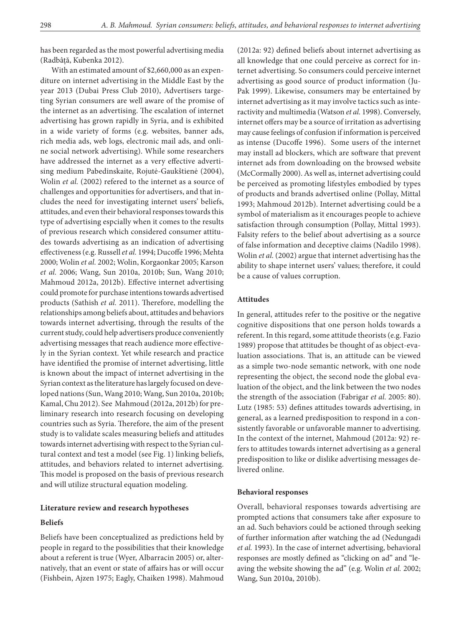has been regarded as the most powerful advertising media (Radbâță, Kubenka 2012).

With an estimated amount of \$2,660,000 as an expenditure on internet advertising in the Middle East by the year 2013 (Dubai Press Club 2010), Advertisers targeting Syrian consumers are well aware of the promise of the internet as an advertising. The escalation of internet advertising has grown rapidly in Syria, and is exhibited in a wide variety of forms (e.g. websites, banner ads, rich media ads, web logs, electronic mail ads, and online social network advertising). While some researchers have addressed the internet as a very effective advertising medium Pabedinskaite, Rojutė-Gaukštienė (2004), Wolin *et al.* (2002) refered to the internet as a source of challenges and opportunities for advertisers, and that includes the need for investigating internet users' beliefs, attitudes, and even their behavioral responses towards this type of advertising espcially when it comes to the results of previous research which considered consumer attitudes towards advertising as an indication of advertising effectiveness (e.g. Russell *et al.* 1994; Ducoffe 1996; Mehta 2000; Wolin *et al.* 2002; Wolin, Korgaonkar 2005; Karson *et al.* 2006; Wang, Sun 2010a, 2010b; Sun, Wang 2010; Mahmoud 2012a, 2012b). Effective internet advertising could promote for purchase intentions towards advertised products (Sathish *et al.* 2011). Therefore, modelling the relationships among beliefs about, attitudes and behaviors towards internet advertising, through the results of the current study, could help advertisers produce conveniently advertising messages that reach audience more effectively in the Syrian context. Yet while research and practice have identified the promise of internet advertising, little is known about the impact of internet advertising in the Syrian context as the literature has largely focused on developed nations (Sun, Wang 2010; Wang, Sun 2010a, 2010b; Kamal, Chu 2012). See Mahmoud (2012a, 2012b) for preliminary research into research focusing on developing countries such as Syria. Therefore, the aim of the present study is to validate scales measuring beliefs and attitudes towards internet advertising with respect to the Syrian cultural context and test a model (see Fig. 1) linking beliefs, attitudes, and behaviors related to internet advertising. This model is proposed on the basis of previous research and will utilize structural equation modeling.

#### **Literature review and research hypotheses**

### **Beliefs**

Beliefs have been conceptualized as predictions held by people in regard to the possibilities that their knowledge about a referent is true (Wyer, Albarracin 2005) or, alternatively, that an event or state of affairs has or will occur (Fishbein, Ajzen 1975; Eagly, Chaiken 1998). Mahmoud (2012a: 92) defined beliefs about internet advertising as all knowledge that one could perceive as correct for internet advertising. So consumers could perceive internet advertising as good source of product information (Ju-Pak 1999). Likewise, consumers may be entertained by internet advertising as it may involve tactics such as interactivity and multimedia (Watson *et al.* 1998). Conversely, internet offers may be a source of irritation as advertising may cause feelings of confusion if information is perceived as intense (Ducoffe 1996). Some users of the internet may install ad blockers, which are software that prevent internet ads from downloading on the browsed website (McCormally 2000). As well as, internet advertising could be perceived as promoting lifestyles embodied by types of products and brands advertised online (Pollay, Mittal 1993; Mahmoud 2012b). Internet advertising could be a symbol of materialism as it encourages people to achieve satisfaction through consumption (Pollay, Mittal 1993). Falsity refers to the belief about advertising as a source of false information and deceptive claims (Nadilo 1998). Wolin *et al.* (2002) argue that internet advertising has the ability to shape internet users' values; therefore, it could be a cause of values corruption.

#### **Attitudes**

In general, attitudes refer to the positive or the negative cognitive dispositions that one person holds towards a referent. In this regard, some attitude theorists (e.g. Fazio 1989) propose that attitudes be thought of as object-evaluation associations. That is, an attitude can be viewed as a simple two-node semantic network, with one node representing the object, the second node the global evaluation of the object, and the link between the two nodes the strength of the association (Fabrigar *et al.* 2005: 80). Lutz (1985: 53) defines attitudes towards advertising, in general, as a learned predisposition to respond in a consistently favorable or unfavorable manner to advertising. In the context of the internet, Mahmoud (2012a: 92) refers to attitudes towards internet advertising as a general predisposition to like or dislike advertising messages delivered online.

#### **Behavioral responses**

Overall, behavioral responses towards advertising are prompted actions that consumers take after exposure to an ad. Such behaviors could be actioned through seeking of further information after watching the ad (Nedungadi *et al.* 1993). In the case of internet advertising, behavioral responses are mostly defined as "clicking on ad" and "leaving the website showing the ad" (e.g. Wolin *et al.* 2002; Wang, Sun 2010a, 2010b).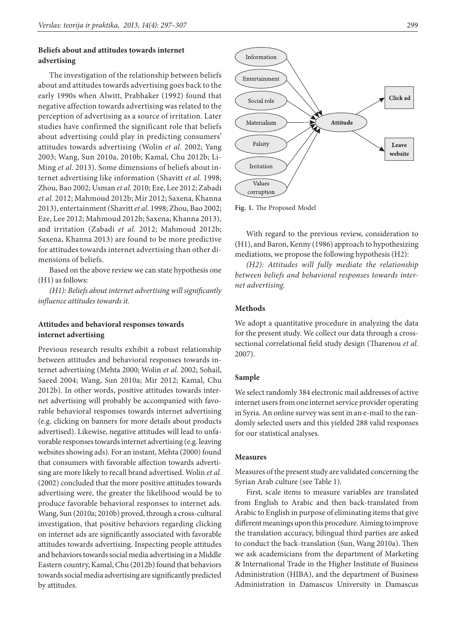# **Beliefs about and attitudes towards internet advertising**

The investigation of the relationship between beliefs about and attitudes towards advertising goes back to the early 1990s when Alwitt, Prabhaker (1992) found that negative affection towards advertising was related to the perception of advertising as a source of irritation. Later studies have confirmed the significant role that beliefs about advertising could play in predicting consumers' attitudes towards advertising (Wolin *et al.* 2002; Yang 2003; Wang, Sun 2010a, 2010b; Kamal, Chu 2012b; Li-Ming *et al.* 2013). Some dimensions of beliefs about internet advertising like information (Shavitt *et al.* 1998; Zhou, Bao 2002; Usman *et al.* 2010; Eze, Lee 2012; Zabadi *et al.* 2012; Mahmoud 2012b; Mir 2012; Saxena, Khanna 2013), entertainment (Shavitt *et al.* 1998; Zhou, Bao 2002; Eze, Lee 2012; Mahmoud 2012b; Saxena, Khanna 2013), and irritation (Zabadi *et al.* 2012; Mahmoud 2012b; Saxena, Khanna 2013) are found to be more predictive for attitudes towards internet advertising than other dimensions of beliefs.

Based on the above review we can state hypothesis one (H1) as follows:

*(H1): Beliefs about internet advertising will significantly influence attitudes towards it.*

# **Attitudes and behavioral responses towards internet advertising**

Previous research results exhibit a robust relationship between attitudes and behavioral responses towards internet advertising (Mehta 2000; Wolin *et al.* 2002; Sohail, Saeed 2004; Wang, Sun 2010a; Mir 2012; Kamal, Chu 2012b). In other words, positive attitudes towards internet advertising will probably be accompanied with favorable behavioral responses towards internet advertising (e.g. clicking on banners for more details about products advertised). Likewise, negative attitudes will lead to unfavorable responses towards internet advertising (e.g. leaving websites showing ads). For an instant, Mehta (2000) found that consumers with favorable affection towards advertising are more likely to recall brand advertised. Wolin *et al.* (2002) concluded that the more positive attitudes towards advertising were, the greater the likelihood would be to produce favorable behavioral responses to internet ads. Wang, Sun (2010a; 2010b) proved, through a cross-cultural investigation, that positive behaviors regarding clicking on internet ads are significantly associated with favorable attitudes towards advertising. Inspecting people attitudes and behaviors towards social media advertising in a Middle Eastern country, Kamal, Chu (2012b) found that behaviors towards social media advertising are significantly predicted by attitudes.



**Fig. 1.** The Proposed Model

With regard to the previous review, consideration to (H1), and Baron, Kenny (1986) approach to hypothesizing mediations, we propose the following hypothesis (H2):

*(H2): Attitudes will fully mediate the relationship between beliefs and behavioral responses towards internet advertising.*

### **Methods**

We adopt a quantitative procedure in analyzing the data for the present study. We collect our data through a crosssectional correlational field study design (Tharenou *et al.* 2007).

### **Sample**

We select randomly 384 electronic mail addresses of active internet users from one internet service provider operating in Syria. An online survey was sent in an e-mail to the randomly selected users and this yielded 288 valid responses for our statistical analyses.

#### **Measures**

Measures of the present study are validated concerning the Syrian Arab culture (see Table 1).

First, scale items to measure variables are translated from English to Arabic and then back-translated from Arabic to English in purpose of eliminating items that give different meanings upon this procedure. Aiming to improve the translation accuracy, bilingual third parties are asked to conduct the back-translation (Sun, Wang 2010a). Then we ask academicians from the department of Marketing & International Trade in the Higher Institute of Business Administration (HIBA), and the department of Business Administration in Damascus University in Damascus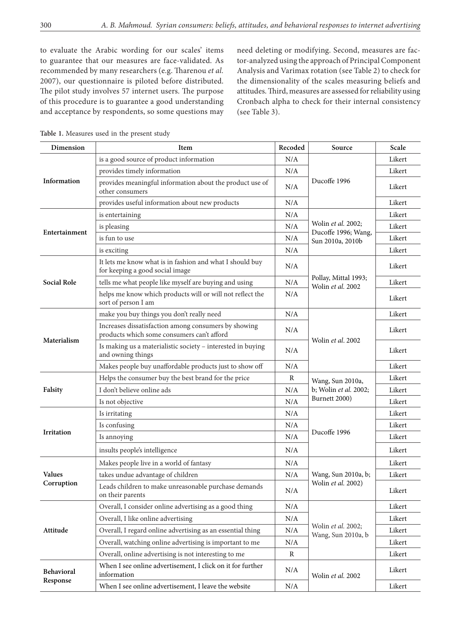to evaluate the Arabic wording for our scales' items to guarantee that our measures are face-validated. As recommended by many researchers (e.g. Tharenou *et al.* 2007), our questionnaire is piloted before distributed. The pilot study involves 57 internet users. The purpose of this procedure is to guarantee a good understanding and acceptance by respondents, so some questions may need deleting or modifying. Second, measures are factor-analyzed using the approach of Principal Component Analysis and Varimax rotation (see Table 2) to check for the dimensionality of the scales measuring beliefs and attitudes. Third, measures are assessed for reliability using Cronbach alpha to check for their internal consistency (see Table 3).

| Dimension          | Item                                                                                               | Recoded          | Source                                    | Scale  |
|--------------------|----------------------------------------------------------------------------------------------------|------------------|-------------------------------------------|--------|
|                    | is a good source of product information                                                            | N/A              |                                           | Likert |
|                    | provides timely information                                                                        | N/A              |                                           | Likert |
| Information        | provides meaningful information about the product use of<br>other consumers                        | N/A              | Ducoffe 1996                              | Likert |
|                    | provides useful information about new products                                                     | $\rm N/A$        |                                           | Likert |
|                    | is entertaining                                                                                    | N/A              |                                           | Likert |
|                    | is pleasing                                                                                        | N/A              | Wolin et al. 2002;<br>Ducoffe 1996; Wang, | Likert |
| Entertainment      | is fun to use                                                                                      | Sun 2010a, 2010b | Likert                                    |        |
|                    | is exciting                                                                                        | $\rm N/A$        |                                           | Likert |
|                    | It lets me know what is in fashion and what I should buy<br>for keeping a good social image        | N/A              |                                           | Likert |
| <b>Social Role</b> | tells me what people like myself are buying and using                                              | N/A              | Pollay, Mittal 1993;<br>Wolin et al. 2002 | Likert |
|                    | helps me know which products will or will not reflect the<br>sort of person I am                   | N/A              |                                           | Likert |
|                    | make you buy things you don't really need                                                          | N/A              |                                           | Likert |
| Materialism        | Increases dissatisfaction among consumers by showing<br>products which some consumers can't afford | N/A              |                                           | Likert |
|                    | Is making us a materialistic society - interested in buying<br>and owning things                   | $\rm N/A$        | Wolin et al. 2002                         | Likert |
|                    | Makes people buy unaffordable products just to show off                                            | $\rm N/A$        |                                           | Likert |
|                    | Helps the consumer buy the best brand for the price                                                | R                | Wang, Sun 2010a,                          | Likert |
| Falsity            | I don't believe online ads                                                                         | N/A              | b; Wolin et al. 2002;                     | Likert |
|                    | Is not objective                                                                                   | $\rm N/A$        | Burnett 2000)                             | Likert |
|                    | Is irritating                                                                                      | N/A              |                                           | Likert |
|                    | Is confusing                                                                                       | N/A              | Ducoffe 1996                              | Likert |
| Irritation         | Is annoying                                                                                        | N/A              |                                           | Likert |
|                    | insults people's intelligence                                                                      | N/A              |                                           | Likert |
|                    | Makes people live in a world of fantasy                                                            | $\rm N/A$        |                                           | Likert |
| <b>Values</b>      | takes undue advantage of children                                                                  | N/A              | Wang, Sun 2010a, b;                       | Likert |
| Corruption         | Leads children to make unreasonable purchase demands<br>on their parents                           | N/A              | Wolin et al. 2002)                        | Likert |
|                    | Overall, I consider online advertising as a good thing                                             | $\rm N/A$        |                                           | Likert |
| Attitude           | Overall, I like online advertising                                                                 | $\rm N/A$        |                                           | Likert |
|                    | Overall, I regard online advertising as an essential thing                                         | $\rm N/A$        | Wolin et al. 2002;<br>Wang, Sun 2010a, b  | Likert |
|                    | Overall, watching online advertising is important to me                                            |                  | Likert                                    |        |
|                    | Overall, online advertising is not interesting to me                                               | $\mathbb{R}$     |                                           | Likert |
| Behavioral         | When I see online advertisement, I click on it for further<br>information                          | $\rm N/A$        | Wolin et al. 2002                         | Likert |
| Response           | When I see online advertisement, I leave the website                                               | $\rm N/A$        |                                           | Likert |

**Table 1.** Measures used in the present study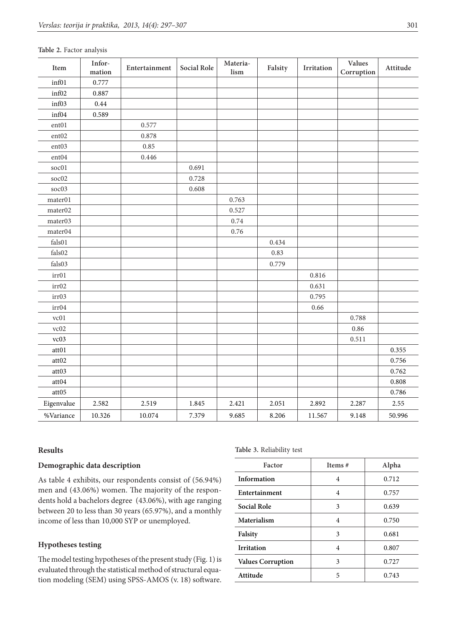| Item                     | Infor-<br>mation | Entertainment | Social Role | Materia-<br>lism | Falsity | Irritation | <b>Values</b><br>Corruption | Attitude |
|--------------------------|------------------|---------------|-------------|------------------|---------|------------|-----------------------------|----------|
| inf01                    | 0.777            |               |             |                  |         |            |                             |          |
| inf02                    | 0.887            |               |             |                  |         |            |                             |          |
| inf03                    | 0.44             |               |             |                  |         |            |                             |          |
| inf04                    | 0.589            |               |             |                  |         |            |                             |          |
| $ent01$                  |                  | 0.577         |             |                  |         |            |                             |          |
| ent02                    |                  | 0.878         |             |                  |         |            |                             |          |
| ent03                    |                  | 0.85          |             |                  |         |            |                             |          |
| ent04                    |                  | 0.446         |             |                  |         |            |                             |          |
| soc01                    |                  |               | 0.691       |                  |         |            |                             |          |
| soc02                    |                  |               | 0.728       |                  |         |            |                             |          |
| soc03                    |                  |               | 0.608       |                  |         |            |                             |          |
| mater01                  |                  |               |             | 0.763            |         |            |                             |          |
| mater02                  |                  |               |             | 0.527            |         |            |                             |          |
| mater03                  |                  |               |             | 0.74             |         |            |                             |          |
| mater04                  |                  |               |             | 0.76             |         |            |                             |          |
| $\operatorname{false}01$ |                  |               |             |                  | 0.434   |            |                             |          |
| $\rm{false}02$           |                  |               |             |                  | 0.83    |            |                             |          |
| $\rm{false}03$           |                  |               |             |                  | 0.779   |            |                             |          |
| irr01                    |                  |               |             |                  |         | 0.816      |                             |          |
| irr02                    |                  |               |             |                  |         | 0.631      |                             |          |
| irr03                    |                  |               |             |                  |         | 0.795      |                             |          |
| irr04                    |                  |               |             |                  |         | 0.66       |                             |          |
| vc01                     |                  |               |             |                  |         |            | 0.788                       |          |
| vc02                     |                  |               |             |                  |         |            | 0.86                        |          |
| vc03                     |                  |               |             |                  |         |            | 0.511                       |          |
| att01                    |                  |               |             |                  |         |            |                             | 0.355    |
| att02                    |                  |               |             |                  |         |            |                             | 0.756    |
| att03                    |                  |               |             |                  |         |            |                             | 0.762    |
| $\mathfrak{att}04$       |                  |               |             |                  |         |            |                             | 0.808    |
| att05                    |                  |               |             |                  |         |            |                             | 0.786    |
| Eigenvalue               | 2.582            | 2.519         | 1.845       | 2.421            | 2.051   | 2.892      | 2.287                       | 2.55     |
| %Variance                | 10.326           | 10.074        | 7.379       | 9.685            | 8.206   | 11.567     | 9.148                       | 50.996   |

### **Table 2.** Factor analysis

### **Results**

# **Demographic data description**

As table 4 exhibits, our respondents consist of (56.94%) men and (43.06%) women. The majority of the respondents hold a bachelors degree (43.06%), with age ranging between 20 to less than 30 years (65.97%), and a monthly income of less than 10,000 SYP or unemployed.

### **Hypotheses testing**

The model testing hypotheses of the present study (Fig. 1) is evaluated through the statistical method of structural equation modeling (SEM) using SPSS-AMOS (v. 18) software.

### **Table 3.** Reliability test

| Factor                   | Items# | Alpha |
|--------------------------|--------|-------|
| Information              | 4      | 0.712 |
| Entertainment            | 4      | 0.757 |
| <b>Social Role</b>       | 3      | 0.639 |
| Materialism              | 4      | 0.750 |
| Falsity                  | 3      | 0.681 |
| <b>Irritation</b>        | 4      | 0.807 |
| <b>Values Corruption</b> | 3      | 0.727 |
| Attitude                 | 5      | 0.743 |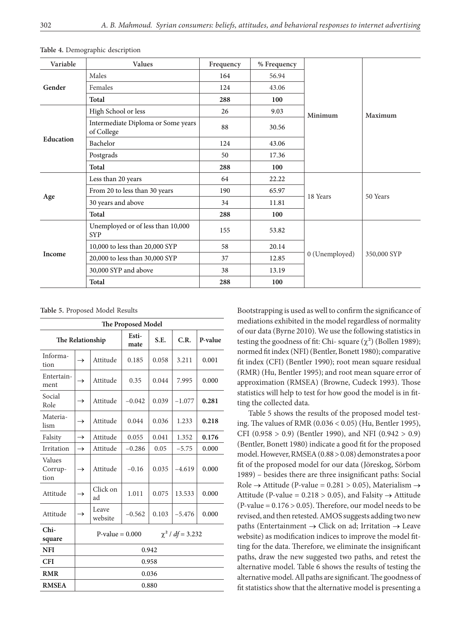| Variable  | Values                                           | Frequency | % Frequency |                |             |  |
|-----------|--------------------------------------------------|-----------|-------------|----------------|-------------|--|
| Gender    | Males                                            | 164       | 56.94       |                |             |  |
|           | Females                                          | 124       | 43.06       |                |             |  |
|           | Total                                            | 288       | 100         |                |             |  |
|           | High School or less                              | 26        | 9.03        | Minimum        | Maximum     |  |
|           | Intermediate Diploma or Some years<br>of College | 88        | 30.56       |                |             |  |
| Education | Bachelor                                         | 124       | 43.06       |                |             |  |
|           | Postgrads                                        | 50        | 17.36       |                |             |  |
|           | Total                                            | 288       | 100         |                |             |  |
|           | Less than 20 years                               | 64        | 22.22       |                |             |  |
|           | From 20 to less than 30 years                    | 190       | 65.97       | 18 Years       | 50 Years    |  |
| Age       | 30 years and above                               | 34        | 11.81       |                |             |  |
|           | Total                                            | 288       | 100         |                |             |  |
| Income    | Unemployed or of less than 10,000<br><b>SYP</b>  | 155       | 53.82       |                |             |  |
|           | 10,000 to less than 20,000 SYP                   | 58        | 20.14       |                | 350,000 SYP |  |
|           | 20,000 to less than 30,000 SYP                   | 37        | 12.85       | 0 (Unemployed) |             |  |
|           | 30,000 SYP and above                             | 38        | 13.19       |                |             |  |
|           | Total                                            | 288       | 100         |                |             |  |

**Table 4.** Demographic description

**Table 5.** Proposed Model Results

| The Proposed Model        |                           |                       |               |       |          |         |  |  |  |
|---------------------------|---------------------------|-----------------------|---------------|-------|----------|---------|--|--|--|
| The Relationship          |                           |                       | Esti-<br>mate | S.E.  | C.R.     | P-value |  |  |  |
| Informa-<br>tion          | $\rightarrow$             | Attitude              | 0.185         | 0.058 | 3.211    | 0.001   |  |  |  |
| Entertain-<br>ment        | $\rightarrow$             | Attitude              | 0.35          | 0.044 | 7.995    | 0.000   |  |  |  |
| Social<br>Role            | $\rightarrow$             | Attitude              | $-0.042$      | 0.039 | $-1.077$ | 0.281   |  |  |  |
| Materia-<br>lism          | Attitude<br>$\rightarrow$ |                       | 0.044         | 0.036 | 1.233    | 0.218   |  |  |  |
| Falsity                   | $\rightarrow$             | Attitude              | 0.055         | 0.041 | 1.352    | 0.176   |  |  |  |
| Irritation                | $\rightarrow$             | Attitude              | $-0.286$      | 0.05  | $-5.75$  | 0.000   |  |  |  |
| Values<br>Corrup-<br>tion | $\rightarrow$             | Attitude              | $-0.16$       | 0.035 | $-4.619$ | 0.000   |  |  |  |
| Attitude                  | $\rightarrow$             | Click on<br>ad        | 1.011         | 0.075 | 13.533   | 0.000   |  |  |  |
| Attitude                  | $\rightarrow$             | Leave<br>website      | $-0.562$      | 0.103 | $-5.476$ | 0.000   |  |  |  |
| $Chi-$<br>square          |                           | $\chi^2$ / df = 3.232 |               |       |          |         |  |  |  |
| <b>NFI</b>                | 0.942                     |                       |               |       |          |         |  |  |  |
| <b>CFI</b>                |                           |                       |               | 0.958 |          |         |  |  |  |
| <b>RMR</b>                |                           |                       |               | 0.036 |          |         |  |  |  |
| <b>RMSEA</b>              |                           | 0.880                 |               |       |          |         |  |  |  |

Bootstrapping is used as well to confirm the significance of mediations exhibited in the model regardless of normality of our data (Byrne 2010). We use the following statistics in testing the goodness of fit: Chi- square  $(\chi^2)$  (Bollen 1989); normed fit index (NFI) (Bentler, Bonett 1980); comparative fit index (CFI) (Bentler 1990); root mean square residual (RMR) (Hu, Bentler 1995); and root mean square error of approximation (RMSEA) (Browne, Cudeck 1993). Those statistics will help to test for how good the model is in fitting the collected data.

Table 5 shows the results of the proposed model testing. The values of RMR (0.036 < 0.05) (Hu, Bentler 1995), CFI (0.958 > 0.9) (Bentler 1990), and NFI (0.942 > 0.9) (Bentler, Bonett 1980) indicate a good fit for the proposed model. However, RMSEA (0.88 > 0.08) demonstrates a poor fit of the proposed model for our data (Jöreskog, Sörbom 1989) – besides there are three insignificant paths: Social Role  $\rightarrow$  Attitude (P-value = 0.281 > 0.05), Materialism  $\rightarrow$ Attitude (P-value =  $0.218 > 0.05$ ), and Falsity  $\rightarrow$  Attitude (P-value =  $0.176 > 0.05$ ). Therefore, our model needs to be revised, and then retested. AMOS suggests adding two new paths (Entertainment  $\rightarrow$  Click on ad; Irritation  $\rightarrow$  Leave website) as modification indices to improve the model fitting for the data. Therefore, we eliminate the insignificant paths, draw the new suggested two paths, and retest the alternative model. Table 6 shows the results of testing the alternative model. All paths are significant. The goodness of fit statistics show that the alternative model is presenting a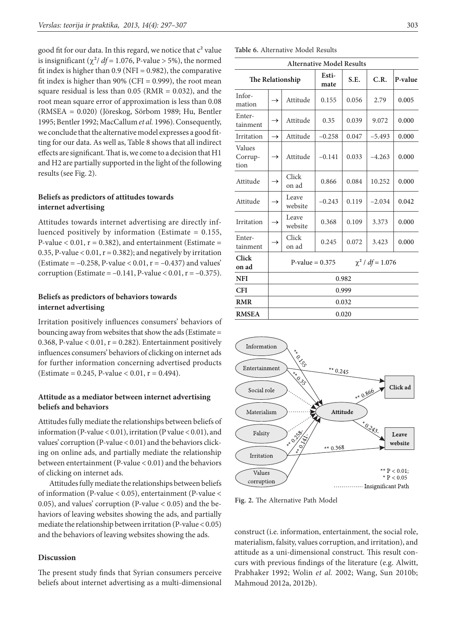good fit for our data. In this regard, we notice that  $c<sup>2</sup>$  value is insignificant  $(\chi^2/df = 1.076, P-value > 5\%)$ , the normed fit index is higher than  $0.9$  (NFI = 0.982), the comparative fit index is higher than  $90\%$  (CFI = 0.999), the root mean square residual is less than  $0.05$  (RMR =  $0.032$ ), and the root mean square error of approximation is less than 0.08 (RMSEA = 0.020) (Jöreskog, Sörbom 1989; Hu, Bentler 1995; Bentler 1992; MacCallum *et al.* 1996). Consequently, we conclude that the alternative model expresses a good fitting for our data. As well as, Table 8 shows that all indirect effects are significant. That is, we come to a decision that H1 and H2 are partially supported in the light of the following results (see Fig. 2).

### **Beliefs as predictors of attitudes towards internet advertising**

Attitudes towards internet advertising are directly influenced positively by information (Estimate = 0.155, P-value  $< 0.01$ ,  $r = 0.382$ ), and entertainment (Estimate = 0.35, P-value <  $0.01$ ,  $r = 0.382$ ); and negatively by irritation (Estimate =  $-0.258$ , P-value < 0.01, r =  $-0.437$ ) and values' corruption (Estimate =  $-0.141$ , P-value < 0.01, r =  $-0.375$ ).

# **Beliefs as predictors of behaviors towards internet advertising**

Irritation positively influences consumers' behaviors of bouncing away from websites that show the ads (Estimate = 0.368, P-value  $< 0.01$ ,  $r = 0.282$ ). Entertainment positively influences consumers' behaviors of clicking on internet ads for further information concerning advertised products (Estimate = 0.245, P-value < 0.01,  $r = 0.494$ ).

# **Attitude as a mediator between internet advertising beliefs and behaviors**

Attitudes fully mediate the relationships between beliefs of information (P-value < 0.01), irritation (P value < 0.01), and values' corruption (P-value < 0.01) and the behaviors clicking on online ads, and partially mediate the relationship between entertainment (P-value < 0.01) and the behaviors of clicking on internet ads.

Attitudes fully mediate the relationships between beliefs of information (P-value < 0.05), entertainment (P-value < 0.05), and values' corruption (P-value  $< 0.05$ ) and the behaviors of leaving websites showing the ads, and partially mediate the relationship between irritation (P-value < 0.05) and the behaviors of leaving websites showing the ads.

#### **Discussion**

The present study finds that Syrian consumers perceive beliefs about internet advertising as a multi-dimensional

|                           |                                            | <b>Alternative Model Results</b> |               |       |          |         |  |  |  |
|---------------------------|--------------------------------------------|----------------------------------|---------------|-------|----------|---------|--|--|--|
|                           |                                            | The Relationship                 | Esti-<br>mate | S.E.  | C.R.     | P-value |  |  |  |
| Infor-<br>mation          | $\rightarrow$                              | Attitude                         | 0.155         | 0.056 | 2.79     | 0.005   |  |  |  |
| Enter-<br>tainment        | $\rightarrow$                              | Attitude                         | 0.35          | 0.039 | 9.072    | 0.000   |  |  |  |
| Irritation                | $\rightarrow$                              | Attitude                         | $-0.258$      | 0.047 | $-5.493$ | 0.000   |  |  |  |
| Values<br>Corrup-<br>tion | $\rightarrow$                              | Attitude                         | $-0.141$      | 0.033 | $-4.263$ | 0.000   |  |  |  |
| Attitude                  | $\rightarrow$                              | Click<br>on ad                   | 0.866         | 0.084 | 10.252   | 0.000   |  |  |  |
| Attitude                  | $\rightarrow$                              | Leave<br>website                 | $-0.243$      | 0.119 | $-2.034$ | 0.042   |  |  |  |
| Irritation                | $\rightarrow$                              | Leave<br>website                 | 0.368         | 0.109 | 3.373    | 0.000   |  |  |  |
| Enter-<br>tainment        | $\rightarrow$                              | Click<br>on ad                   | 0.245         | 0.072 | 3.423    | 0.000   |  |  |  |
| Click<br>on ad            | $\chi^2$ / df = 1.076<br>$P-value = 0.375$ |                                  |               |       |          |         |  |  |  |
| <b>NFI</b>                |                                            | 0.982                            |               |       |          |         |  |  |  |
| <b>CFI</b>                |                                            |                                  |               | 0.999 |          |         |  |  |  |
| <b>RMR</b>                |                                            |                                  |               | 0.032 |          |         |  |  |  |
| <b>RMSEA</b>              |                                            | 0.020                            |               |       |          |         |  |  |  |



**Fig. 2.** The Alternative Path Model

construct (i.e. information, entertainment, the social role, materialism, falsity, values corruption, and irritation), and attitude as a uni-dimensional construct. This result concurs with previous findings of the literature (e.g. Alwitt, Prabhaker 1992; Wolin *et al.* 2002; Wang, Sun 2010b; Mahmoud 2012a, 2012b).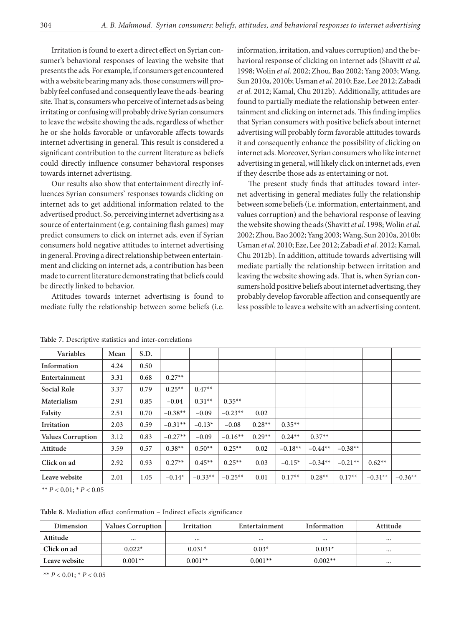Irritation is found to exert a direct effect on Syrian consumer's behavioral responses of leaving the website that presents the ads. For example, if consumers get encountered with a website bearing many ads, those consumers will probably feel confused and consequently leave the ads-bearing site. That is, consumers who perceive of internet ads as being irritating or confusing will probably drive Syrian consumers to leave the website showing the ads, regardless of whether he or she holds favorable or unfavorable affects towards internet advertising in general. This result is considered a significant contribution to the current literature as beliefs could directly influence consumer behavioral responses towards internet advertising.

Our results also show that entertainment directly influences Syrian consumers' responses towards clicking on internet ads to get additional information related to the advertised product. So, perceiving internet advertising as a source of entertainment (e.g. containing flash games) may predict consumers to click on internet ads, even if Syrian consumers hold negative attitudes to internet advertising in general. Proving a direct relationship between entertainment and clicking on internet ads, a contribution has been made to current literature demonstrating that beliefs could be directly linked to behavior.

Attitudes towards internet advertising is found to mediate fully the relationship between some beliefs (i.e.

information, irritation, and values corruption) and the behavioral response of clicking on internet ads (Shavitt *et al.* 1998; Wolin *et al.* 2002; Zhou, Bao 2002; Yang 2003; Wang, Sun 2010a, 2010b; Usman *et al.* 2010; Eze, Lee 2012; Zabadi *et al.* 2012; Kamal, Chu 2012b). Additionally, attitudes are found to partially mediate the relationship between entertainment and clicking on internet ads. This finding implies that Syrian consumers with positive beliefs about internet advertising will probably form favorable attitudes towards it and consequently enhance the possibility of clicking on internet ads. Moreover, Syrian consumers who like internet advertising in general, will likely click on internet ads, even if they describe those ads as entertaining or not.

The present study finds that attitudes toward internet advertising in general mediates fully the relationship between some beliefs (i.e. information, entertainment, and values corruption) and the behavioral response of leaving the website showing the ads (Shavitt *et al.* 1998; Wolin *et al.* 2002; Zhou, Bao 2002; Yang 2003; Wang, Sun 2010a, 2010b; Usman *et al.* 2010; Eze, Lee 2012; Zabadi *et al.* 2012; Kamal, Chu 2012b). In addition, attitude towards advertising will mediate partially the relationship between irritation and leaving the website showing ads. That is, when Syrian consumers hold positive beliefs about internet advertising, they probably develop favorable affection and consequently are less possible to leave a website with an advertising content.

| Variables                | Mean | S.D. |           |           |           |          |           |           |           |           |           |
|--------------------------|------|------|-----------|-----------|-----------|----------|-----------|-----------|-----------|-----------|-----------|
| Information              | 4.24 | 0.50 |           |           |           |          |           |           |           |           |           |
| Entertainment            | 3.31 | 0.68 | $0.27**$  |           |           |          |           |           |           |           |           |
| Social Role              | 3.37 | 0.79 | $0.25**$  | $0.47**$  |           |          |           |           |           |           |           |
| Materialism              | 2.91 | 0.85 | $-0.04$   | $0.31**$  | $0.35**$  |          |           |           |           |           |           |
| Falsity                  | 2.51 | 0.70 | $-0.38**$ | $-0.09$   | $-0.23**$ | 0.02     |           |           |           |           |           |
| <b>Irritation</b>        | 2.03 | 0.59 | $-0.31**$ | $-0.13*$  | $-0.08$   | $0.28**$ | $0.35**$  |           |           |           |           |
| <b>Values Corruption</b> | 3.12 | 0.83 | $-0.27**$ | $-0.09$   | $-0.16**$ | $0.29**$ | $0.24**$  | $0.37**$  |           |           |           |
| Attitude                 | 3.59 | 0.57 | $0.38**$  | $0.50**$  | $0.25**$  | 0.02     | $-0.18**$ | $-0.44**$ | $-0.38**$ |           |           |
| Click on ad              | 2.92 | 0.93 | $0.27**$  | $0.45**$  | $0.25**$  | 0.03     | $-0.15*$  | $-0.34**$ | $-0.21**$ | $0.62**$  |           |
| Leave website            | 2.01 | 1.05 | $-0.14*$  | $-0.33**$ | $-0.25**$ | 0.01     | $0.17**$  | $0.28**$  | $0.17**$  | $-0.31**$ | $-0.36**$ |

**Table 7.** Descriptive statistics and inter-correlations

\*\*  $P < 0.01$ ; \*  $P < 0.05$ 

**Table 8.** Mediation effect confirmation – Indirect effects significance

| Dimension     | <b>Values Corruption</b> | <b>Irritation</b> | Entertainment | Information | Attitude |
|---------------|--------------------------|-------------------|---------------|-------------|----------|
| Attitude      | $\cdots$                 | $\cdots$          |               |             |          |
| Click on ad   | $0.022*$                 | $0.031*$          | $0.03*$       | $0.031*$    |          |
| Leave website | $0.001**$                | $0.001**$         | $0.001**$     | $0.002**$   |          |

\*\*  $P < 0.01$ ; \*  $P < 0.05$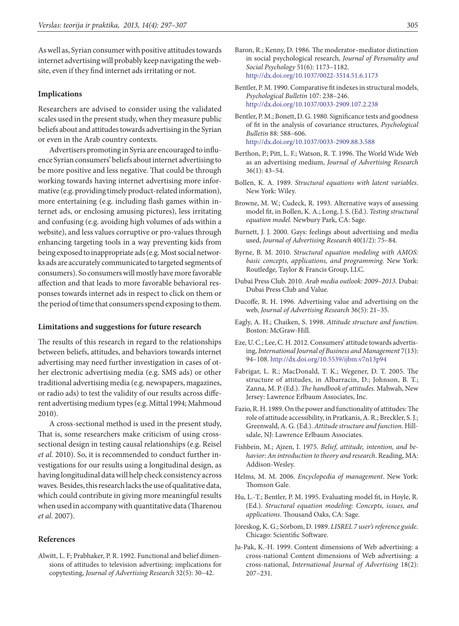As well as, Syrian consumer with positive attitudes towards internet advertising will probably keep navigating the website, even if they find internet ads irritating or not.

### **Implications**

Researchers are advised to consider using the validated scales used in the present study, when they measure public beliefs about and attitudes towards advertising in the Syrian or even in the Arab country contexts.

Advertisers promoting in Syria are encouraged to influence Syrian consumers' beliefs about internet advertising to be more positive and less negative. That could be through working towards having internet advertising more informative (e.g. providing timely product-related information), more entertaining (e.g. including flash games within internet ads, or enclosing amusing pictures), less irritating and confusing (e.g. avoiding high volumes of ads within a website), and less values corruptive or pro-values through enhancing targeting tools in a way preventing kids from being exposed to inappropriate ads (e.g. Most social networks ads are accurately communicated to targeted segments of consumers). So consumers will mostly have more favorable affection and that leads to more favorable behavioral responses towards internet ads in respect to click on them or the period of time that consumers spend exposing to them.

#### **Limitations and suggestions for future research**

The results of this research in regard to the relationships between beliefs, attitudes, and behaviors towards internet advertising may need further investigation in cases of other electronic advertising media (e.g. SMS ads) or other traditional advertising media (e.g. newspapers, magazines, or radio ads) to test the validity of our results across different advertising medium types (e.g. Mittal 1994; Mahmoud 2010).

A cross-sectional method is used in the present study, That is, some researchers make criticism of using crosssectional design in testing causal relationships (e.g. Reisel *et al.* 2010). So, it is recommended to conduct further investigations for our results using a longitudinal design, as having longitudinal data will help check consistency across waves. Besides, this research lacks the use of qualitative data, which could contribute in giving more meaningful results when used in accompany with quantitative data (Tharenou *et al.* 2007).

### **References**

Alwitt, L. F; Prabhaker, P. R. 1992. Functional and belief dimensions of attitudes to television advertising: implications for copytesting, *Journal of Advertising Research* 32(5): 30–42.

- Baron, R.; Kenny, D. 1986. The moderator–mediator distinction in social psychological research, *Journal of Personality and Social Psychology* 51(6): 1173–1182. <http://dx.doi.org/10.1037/0022-3514.51.6.1173>
- Bentler, P. M. 1990. Comparative fit indexes in structural models, *Psychological Bulletin* 107: 238–246. <http://dx.doi.org/10.1037/0033-2909.107.2.238>
- Bentler, P. M.; Bonett, D. G. 1980. Significance tests and goodness of fit in the analysis of covariance structures, *Psychological Bulletin* 88: 588–606. <http://dx.doi.org/10.1037/0033-2909.88.3.588>
- Berthon, P.; Pitt, L. F.; Watson, R. T. 1996. The World Wide Web as an advertising medium, *Journal of Advertising Research* 36(1): 43–54.
- Bollen, K. A. 1989. *Structural equations with latent variables*. New York: Wiley.
- Browne, M. W.; Cudeck, R. 1993. Alternative ways of assessing model fit, in Bollen, K. A.; Long, J. S. (Ed.). *Testing structural equation model.* Newbury Park, CA: Sage.
- Burnett, J. J. 2000. Gays: feelings about advertising and media used, *Journal of Advertising Research* 40(1/2): 75–84.
- Byrne, B. M. 2010. *Structural equation modeling with AMOS: basic concepts, applications, and programming*. New York: Routledge, Taylor & Francis Group, LLC.
- Dubai Press Club. 2010. *Arab media outlook: 2009–2013.* Dubai: Dubai Press Club and Value.
- Ducoffe, R. H. 1996. Advertising value and advertising on the web, *Journal of Advertising Research* 36(5): 21–35.
- Eagly, A. H.; Chaiken, S. 1998. *Attitude structure and function.* Boston: McGraw-Hill.
- Eze, U. C.; Lee, C. H. 2012. Consumers' attitude towards advertising, *International Journal of Business and Management* 7(13): 94–108. <http://dx.doi.org/10.5539/ijbm.v7n13p94>
- Fabrigar, L. R.; MacDonald, T. K.; Wegener, D. T. 2005. The structure of attitudes, in Albarracin, D.; Johnson, B. T.; Zanna, M. P. (Ed.). *The handbook of attitudes*. Mahwah, New Jersey: Lawrence Erlbaum Associates, Inc.
- Fazio, R. H. 1989. On the power and functionality of attitudes: The role of attitude accessibility, in Pratkanis, A. R.; Breckler, S. J.; Greenwald, A. G. (Ed.). *Attitude structure and function*. Hillsdale, NJ: Lawrence Erlbaum Associates.
- Fishbein, M.; Ajzen, I. 1975. *Belief, attitude, intention, and behavior: An introduction to theory and research*. Reading, MA: Addison-Wesley.
- Helms, M. M. 2006. *Encyclopedia of management*. New York: Thomson Gale.
- Hu, L.-T.; Bentler, P. M. 1995. Evaluating model fit, in Hoyle, R. (Ed.). *Structural equation modeling: Concepts, issues, and applications*. Thousand Oaks, CA: Sage.
- Jöreskog, K. G.; Sörbom, D. 1989. *LISREL 7 user's reference guide*. Chicago: Scientific Software.
- Ju-Pak, K.-H. 1999. Content dimensions of Web advertising: a cross-national Content dimensions of Web advertising: a cross-national, *International Journal of Advertising* 18(2): 207–231.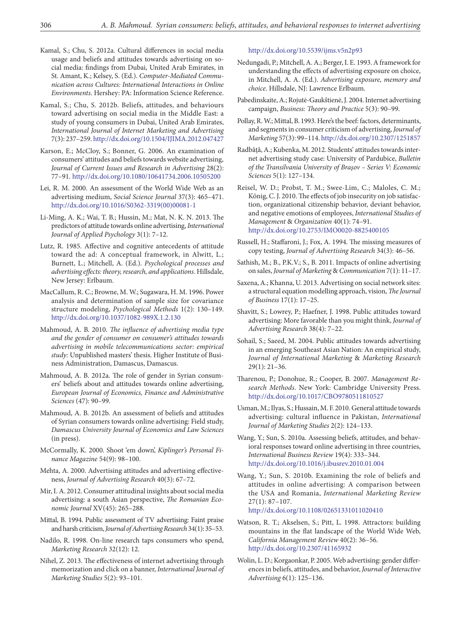- Kamal, S.; Chu, S. 2012a. Cultural differences in social media usage and beliefs and attitudes towards advertising on social media: findings from Dubai, United Arab Emirates, in St. Amant, K.; Kelsey, S. (Ed.). *Computer-Mediated Communication across Cultures: International Interactions in Online Environments*. Hershey: PA: Information Science Reference.
- Kamal, S.; Chu, S. 2012b. Beliefs, attitudes, and behaviours toward advertising on social media in the Middle East: a study of young consumers in Dubai, United Arab Emirates, *International Journal of Internet Marketing and Advertising* 7(3): 237–259.<http://dx.doi.org/10.1504/IJIMA.2012.047427>
- Karson, E.; McCloy, S.; Bonner, G. 2006. An examination of consumers' attitudes and beliefs towards website advertising, *Journal of Current Issues and Research in Advertising* 28(2): 77–91. <http://dx.doi.org/10.1080/10641734.2006.10505200>
- Lei, R. M. 2000. An assessment of the World Wide Web as an advertising medium, *Social Science Journal* 37(3): 465–471. [http://dx.doi.org/10.1016/S0362-3319\(00\)00081-1](http://dx.doi.org/10.1016/S0362-3319(00)00081-1)
- Li-Ming, A. K.; Wai, T. B.; Hussin, M.; Mat, N. K. N. 2013. The predictors of attitude towards online advertising, *International Journal of Applied Psychology* 3(1): 7–12.
- Lutz, R. 1985. Affective and cognitive antecedents of attitude toward the ad: A conceptual framework, in Alwitt, L.; Burnett, L.; Mitchell, A. (Ed.). *Psychological processes and advertising effects: theory, research, and applications*. Hillsdale, New Jersey: Erlbaum.
- MacCallum, R. C.; Browne, M. W.; Sugawara, H. M. 1996. Power analysis and determination of sample size for covariance structure modeling, *Psychological Methods* 1(2): 130–149. <http://dx.doi.org/10.1037/1082-989X.1.2.130>
- Mahmoud, A. B. 2010. *The influence of advertising media type and the gender of consumer on consumer's attitudes towards advertising in mobile telecommunications sector: empirical study:* Unpublished masters' thesis. Higher Institute of Business Administration, Damascus, Damascus.
- Mahmoud, A. B. 2012a. The role of gender in Syrian consumers' beliefs about and attitudes towards online advertising, *European Journal of Economics, Finance and Administrative Sciences* (47): 90–99.
- Mahmoud, A. B. 2012b. An assessment of beliefs and attitudes of Syrian consumers towards online advertising: Field study, *Damascus University Journal of Economics and Law Sciences* (in press).
- McCormally, K. 2000. Shoot 'em down', *Kiplinger's Personal Finance Magazine* 54(9): 98–100.
- Mehta, A. 2000. Advertising attitudes and advertising effectiveness, *Journal of Advertising Research* 40(3): 67–72.
- Mir, I. A. 2012. Consumer attitudinal insights about social media advertising: a south Asian perspective, *The Romanian Economic Journal* XV(45): 265–288.
- Mittal, B. 1994. Public assessment of TV advertising: Faint praise and harsh criticism, *Journal of Advertising Research* 34(1): 35–53.
- Nadilo, R. 1998. On-line research taps consumers who spend, *Marketing Research* 32(12): 12.
- Nihel, Z. 2013. The effectiveness of internet advertising through memorization and click on a banner, *International Journal of Marketing Studies* 5(2): 93–101.

<http://dx.doi.org/10.5539/ijms.v5n2p93>

- Nedungadi, P.; Mitchell, A. A.; Berger, I. E. 1993. A framework for understanding the effects of advertising exposure on choice, in Mitchell, A. A. (Ed.). *Advertising exposure, memory and choice*. Hillsdale, NJ: Lawrence Erlbaum.
- Pabedinskaite, A.; Rojutė-Gaukštienė, J. 2004. Internet advertising campaign, *Business: Theory and Practice* 5(3): 90–99.
- Pollay, R. W.; Mittal, B. 1993. Here's the beef: factors, determinants, and segments in consumer criticism of advertising, *Journal of Marketing* 57(3): 99–114.<http://dx.doi.org/10.2307/1251857>
- Radbâță, A.; Kubenka, M. 2012. Students' attitudes towards internet advertising study case: University of Pardubice, *Bulletin of the Transilvania University of Braşov – Series V: Economic Sciences* 5(1): 127–134.
- Reisel, W. D.; Probst, T. M.; Swee-Lim, C.; Maloles, C. M.; König, C. J. 2010. The effects of job insecurity on job satisfaction, organizational citizenship behavior, deviant behavior, and negative emotions of employees, *International Studies of Management* & *Organization* 40(1): 74–91. <http://dx.doi.org/10.2753/IMO0020-8825400105>
- Russell, H.; Staffaroni, J.; Fox, A. 1994. The missing measures of copy testing, *Journal of Advertising Research* 34(3): 46–56.
- Sathish, M.; B., P.K.V.; S., B. 2011. Impacts of online advertising on sales, *Journal of Marketing* & *Communication* 7(1): 11–17.
- Saxena, A.; Khanna, U. 2013. Advertising on social network sites: a structural equation modelling approach, vision, *The Journal of Business* 17(1): 17–25.
- Shavitt, S.; Lowrey, P.; Haefner, J. 1998. Public attitudes toward advertising: More favorable than you might think, *Journal of Advertising Research* 38(4): 7–22.
- Sohail, S.; Saeed, M. 2004. Public attitudes towards advertising in an emerging Southeast Asian Nation: An empirical study, *Journal of International Marketing* & *Marketing Research* 29(1): 21–36.
- Tharenou, P.; Donohue, R.; Cooper, B. 2007. *Management Research Methods*. New York: Cambridge University Press. <http://dx.doi.org/10.1017/CBO9780511810527>
- Usman, M.; Ilyas, S.; Hussain, M. F. 2010. General attitude towards advertising: cultural influence in Pakistan, *International Journal of Marketing Studies* 2(2): 124–133.
- Wang, Y.; Sun, S. 2010a. Assessing beliefs, attitudes, and behavioral responses toward online advertising in three countries, *International Business Review* 19(4): 333–344. <http://dx.doi.org/10.1016/j.ibusrev.2010.01.004>
- Wang, Y.; Sun, S. 2010b. Examining the role of beliefs and attitudes in online advertising: A comparison between the USA and Romania, *International Marketing Review* 27(1): 87–107. <http://dx.doi.org/10.1108/02651331011020410>
- Watson, R. T.; Akselsen, S.; Pitt, L. 1998. Attractors: building mountains in the flat landscape of the World Wide Web, *California Management Review* 40(2): 36–56. <http://dx.doi.org/10.2307/41165932>
- Wolin, L. D.; Korgaonkar, P. 2005. Web advertising: gender differences in beliefs, attitudes, and behavior, *Journal of Interactive Advertising* 6(1): 125–136.